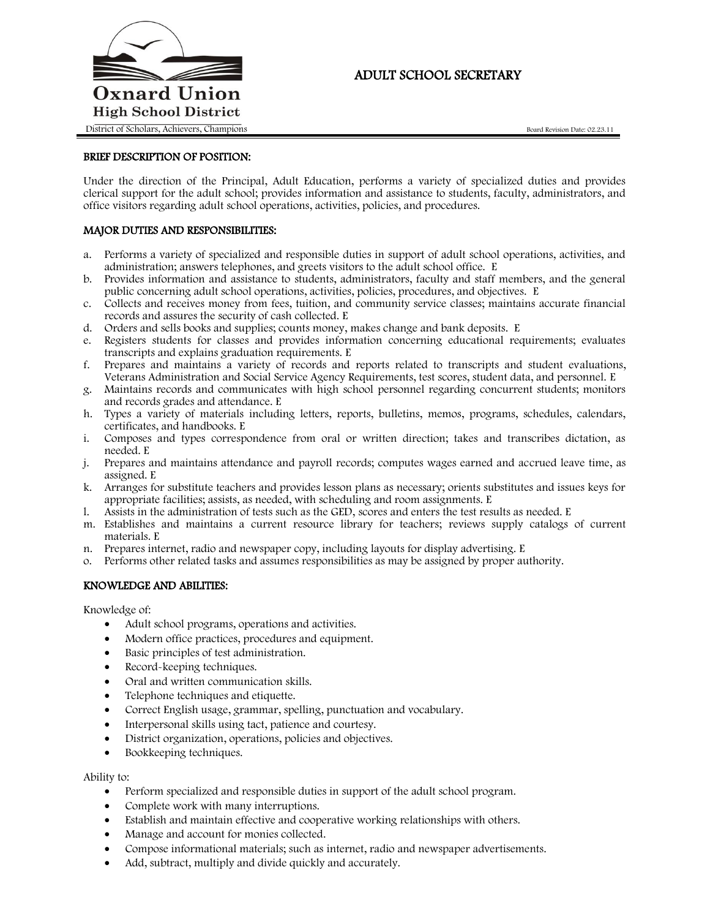

# ADULT SCHOOL SECRETARY

## BRIEF DESCRIPTION OF POSITION:

Under the direction of the Principal, Adult Education, performs a variety of specialized duties and provides clerical support for the adult school; provides information and assistance to students, faculty, administrators, and office visitors regarding adult school operations, activities, policies, and procedures.

### MAJOR DUTIES AND RESPONSIBILITIES:

- a. Performs a variety of specialized and responsible duties in support of adult school operations, activities, and administration; answers telephones, and greets visitors to the adult school office. E
- b. Provides information and assistance to students, administrators, faculty and staff members, and the general public concerning adult school operations, activities, policies, procedures, and objectives. E
- c. Collects and receives money from fees, tuition, and community service classes; maintains accurate financial records and assures the security of cash collected. E
- d. Orders and sells books and supplies; counts money, makes change and bank deposits. E
- e. Registers students for classes and provides information concerning educational requirements; evaluates transcripts and explains graduation requirements. E
- f. Prepares and maintains a variety of records and reports related to transcripts and student evaluations, Veterans Administration and Social Service Agency Requirements, test scores, student data, and personnel. E
- g. Maintains records and communicates with high school personnel regarding concurrent students; monitors and records grades and attendance. E
- h. Types a variety of materials including letters, reports, bulletins, memos, programs, schedules, calendars, certificates, and handbooks. E
- i. Composes and types correspondence from oral or written direction; takes and transcribes dictation, as needed. E
- j. Prepares and maintains attendance and payroll records; computes wages earned and accrued leave time, as assigned. E
- k. Arranges for substitute teachers and provides lesson plans as necessary; orients substitutes and issues keys for appropriate facilities; assists, as needed, with scheduling and room assignments. E
- l. Assists in the administration of tests such as the GED, scores and enters the test results as needed. E
- m. Establishes and maintains a current resource library for teachers; reviews supply catalogs of current materials. E
- n. Prepares internet, radio and newspaper copy, including layouts for display advertising. E
- o. Performs other related tasks and assumes responsibilities as may be assigned by proper authority.

### KNOWLEDGE AND ABILITIES:

Knowledge of:

- Adult school programs, operations and activities.
- Modern office practices, procedures and equipment.
- Basic principles of test administration.
- Record-keeping techniques.
- Oral and written communication skills.
- Telephone techniques and etiquette.
- Correct English usage, grammar, spelling, punctuation and vocabulary.
- Interpersonal skills using tact, patience and courtesy.
- District organization, operations, policies and objectives.
- Bookkeeping techniques.

#### Ability to:

- Perform specialized and responsible duties in support of the adult school program.
- Complete work with many interruptions.
- Establish and maintain effective and cooperative working relationships with others.
- Manage and account for monies collected.
- Compose informational materials; such as internet, radio and newspaper advertisements.
- Add, subtract, multiply and divide quickly and accurately.